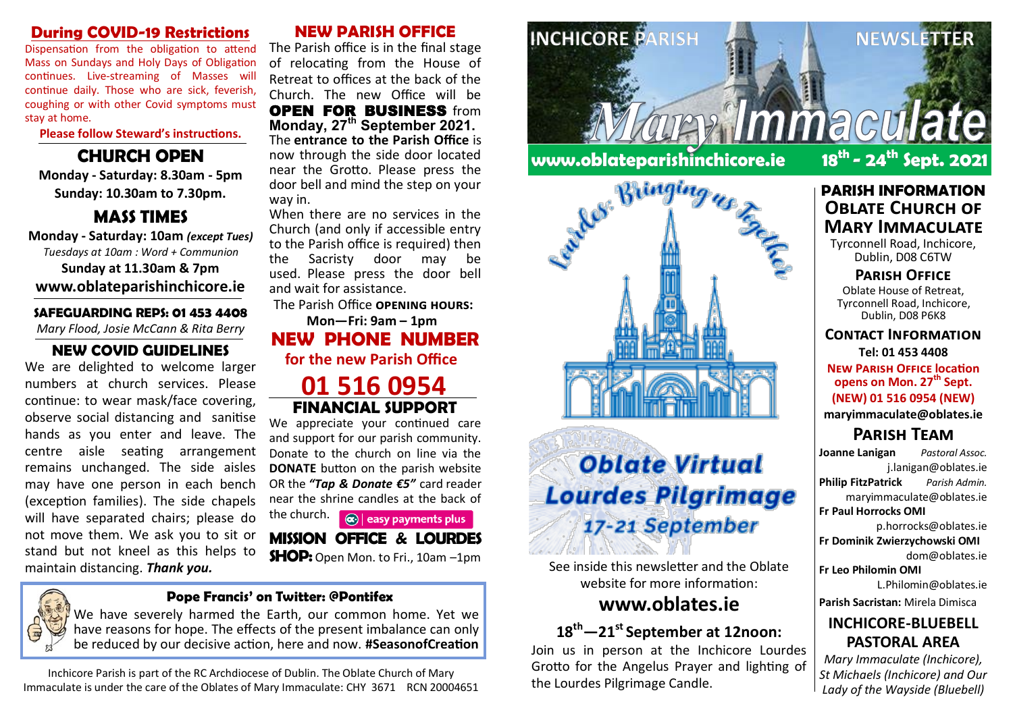#### **During COVID-19 Restrictions**

Dispensation from the obligation to attend Mass on Sundays and Holy Days of Obligation continues. Live-streaming of Masses will continue daily. Those who are sick, feverish, coughing or with other Covid symptoms must stay at home.

**Please follow Steward's instructions.**

#### **CHURCH OPEN**

**Monday - Saturday: 8.30am - 5pm Sunday: 10.30am to 7.30pm.**

#### **MASS TIMES**

**Monday - Saturday: 10am** *(except Tues) Tuesdays at 10am : Word + Communion* **Sunday at 11.30am & 7pm www.oblateparishinchicore.ie**

### **SAFEGUARDING REPS: 01 453 4408**

*Mary Flood, Josie McCann & Rita Berry*

#### **NEW COVID GUIDELINES**

We are delighted to welcome larger numbers at church services. Please continue: to wear mask/face covering, observe social distancing and sanitise hands as you enter and leave. The centre aisle seating arrangement remains unchanged. The side aisles may have one person in each bench (exception families). The side chapels will have separated chairs; please do not move them. We ask you to sit or stand but not kneel as this helps to maintain distancing. *Thank you.*

#### **NEW PARISH OFFICE**

The Parish office is in the final stage of relocating from the House of Retreat to offices at the back of the Church. The new Office will be OPEN FOR BUSINESS from **Monday, 27th September 2021.**  The **entrance to the Parish Office** is now through the side door located near the Grotto.  Please press the door bell and mind the step on your way in.

When there are no services in the Church (and only if accessible entry to the Parish office is required) then the Sacristy door may be used.  Please press the door bell and wait for assistance.

The Parish Office **opening hours:**

**Mon—Fri: 9am – 1pm NEW PHONE NUMBER for the new Parish Office** 

#### **01 516 0954 FINANCIAL SUPPORT**

We appreciate your continued care and support for our parish community. Donate to the church on line via the **DONATE** button on the parish website OR the *"Tap & Donate €5"* card reader near the shrine candles at the back of

the church.  $\left| \mathbf{a} \right|$  easy payments plus **MISSION OFFICE & LOURDES** 

**SHOP:** Open Mon. to Fri., 10am –1pm

#### **Pope Francis' on Twitter: @Pontifex**

We have severely harmed the Earth, our common home. Yet we have reasons for hope. The effects of the present imbalance can only be reduced by our decisive action, here and now. **#SeasonofCreation**

Inchicore Parish is part of the RC Archdiocese of Dublin. The Oblate Church of Mary Immaculate is under the care of the Oblates of Mary Immaculate: CHY 3671 RCN 20004651





# **Oblate Virtual Lourdes Pilgrimage** 17-21 September

See inside this newsletter and the Oblate website for more information:

#### **www.oblates.ie**

# **18th—21st September at 12noon:**

Join us in person at the Inchicore Lourdes Grotto for the Angelus Prayer and lighting of the Lourdes Pilgrimage Candle.

# **- 24th Sept. 2021**

#### **PARISH INFORMATION OBLATE CHURCH OF Mary Immaculate**

Tyrconnell Road, Inchicore, Dublin, D08 C6TW

#### **Parish Office**

Oblate House of Retreat, Tyrconnell Road, Inchicore, Dublin, D08 P6K8

#### **Contact Information**

**Tel: 01 453 4408 New Parish Office location** 

**opens on Mon. 27th Sept.**

#### **(NEW) 01 516 0954 (NEW)**

**maryimmaculate@oblates.ie**

## **Parish Team**

**Joanne Lanigan** *Pastoral Assoc.* j.lanigan@oblates.ie **Philip FitzPatrick** *Parish Admin.* maryimmaculate@oblates.ie **Fr Paul Horrocks OMI**  p.horrocks@oblates.ie

**Fr Dominik Zwierzychowski OMI** dom@oblates.ie

**Fr Leo Philomin OMI** L.Philomin@oblates.ie

**Parish Sacristan:** Mirela Dimisca

#### **INCHICORE-BLUEBELL PASTORAL AREA**

*Mary Immaculate (Inchicore), St Michaels (Inchicore) and Our Lady of the Wayside (Bluebell)*